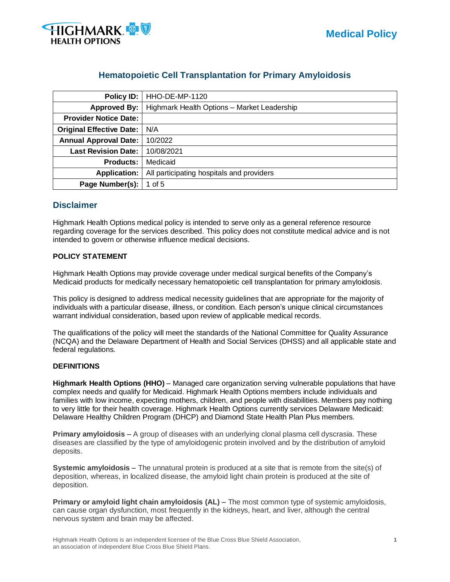

# **Hematopoietic Cell Transplantation for Primary Amyloidosis**

| <b>Policy ID:</b>               | <b>HHO-DE-MP-1120</b>                       |
|---------------------------------|---------------------------------------------|
| <b>Approved By:</b>             | Highmark Health Options - Market Leadership |
| <b>Provider Notice Date:</b>    |                                             |
| <b>Original Effective Date:</b> | N/A                                         |
| <b>Annual Approval Date:</b>    | 10/2022                                     |
| <b>Last Revision Date:</b>      | 10/08/2021                                  |
| <b>Products:</b>                | Medicaid                                    |
| <b>Application:</b>             | All participating hospitals and providers   |
| Page Number(s):                 | 1 of 5                                      |

## **Disclaimer**

Highmark Health Options medical policy is intended to serve only as a general reference resource regarding coverage for the services described. This policy does not constitute medical advice and is not intended to govern or otherwise influence medical decisions.

### **POLICY STATEMENT**

Highmark Health Options may provide coverage under medical surgical benefits of the Company's Medicaid products for medically necessary hematopoietic cell transplantation for primary amyloidosis.

This policy is designed to address medical necessity guidelines that are appropriate for the majority of individuals with a particular disease, illness, or condition. Each person's unique clinical circumstances warrant individual consideration, based upon review of applicable medical records.

The qualifications of the policy will meet the standards of the National Committee for Quality Assurance (NCQA) and the Delaware Department of Health and Social Services (DHSS) and all applicable state and federal regulations.

#### **DEFINITIONS**

**Highmark Health Options (HHO)** – Managed care organization serving vulnerable populations that have complex needs and qualify for Medicaid. Highmark Health Options members include individuals and families with low income, expecting mothers, children, and people with disabilities. Members pay nothing to very little for their health coverage. Highmark Health Options currently services Delaware Medicaid: Delaware Healthy Children Program (DHCP) and Diamond State Health Plan Plus members.

**Primary amyloidosis** – A group of diseases with an underlying clonal plasma cell dyscrasia. These diseases are classified by the type of amyloidogenic protein involved and by the distribution of amyloid deposits.

**Systemic amyloidosis** – The unnatural protein is produced at a site that is remote from the site(s) of deposition, whereas, in localized disease, the amyloid light chain protein is produced at the site of deposition.

**Primary or amyloid light chain amyloidosis (AL)** – The most common type of systemic amyloidosis, can cause organ dysfunction, most frequently in the kidneys, heart, and liver, although the central nervous system and brain may be affected.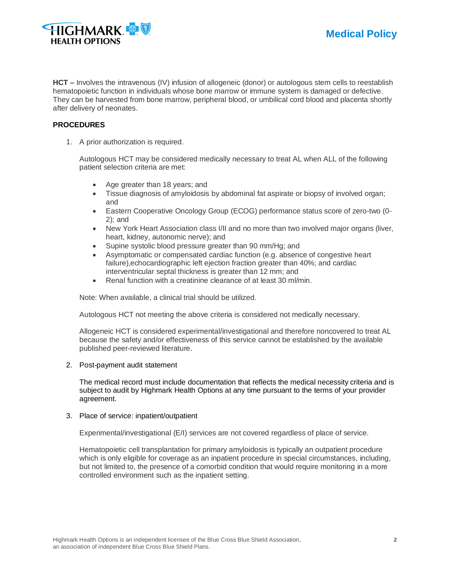

**HCT** – Involves the intravenous (IV) infusion of allogeneic (donor) or autologous stem cells to reestablish hematopoietic function in individuals whose bone marrow or immune system is damaged or defective. They can be harvested from bone marrow, peripheral blood, or umbilical cord blood and placenta shortly after delivery of neonates.

### **PROCEDURES**

1. A prior authorization is required.

Autologous HCT may be considered medically necessary to treat AL when ALL of the following patient selection criteria are met:

- Age greater than 18 years; and
- Tissue diagnosis of amyloidosis by abdominal fat aspirate or biopsy of involved organ; and
- Eastern Cooperative Oncology Group (ECOG) performance status score of zero-two (0- 2); and
- New York Heart Association class I/II and no more than two involved major organs (liver, heart, kidney, autonomic nerve); and
- Supine systolic blood pressure greater than 90 mm/Hg; and
- Asymptomatic or compensated cardiac function (e.g. absence of congestive heart failure),echocardiographic left ejection fraction greater than 40%; and cardiac interventricular septal thickness is greater than 12 mm; and
- Renal function with a creatinine clearance of at least 30 ml/min.

Note: When available, a clinical trial should be utilized.

Autologous HCT not meeting the above criteria is considered not medically necessary.

Allogeneic HCT is considered experimental/investigational and therefore noncovered to treat AL because the safety and/or effectiveness of this service cannot be established by the available published peer-reviewed literature.

#### 2. Post-payment audit statement

The medical record must include documentation that reflects the medical necessity criteria and is subject to audit by Highmark Health Options at any time pursuant to the terms of your provider agreement.

#### 3. Place of service: inpatient/outpatient

Experimental/investigational (E/I) services are not covered regardless of place of service.

Hematopoietic cell transplantation for primary amyloidosis is typically an outpatient procedure which is only eligible for coverage as an inpatient procedure in special circumstances, including, but not limited to, the presence of a comorbid condition that would require monitoring in a more controlled environment such as the inpatient setting.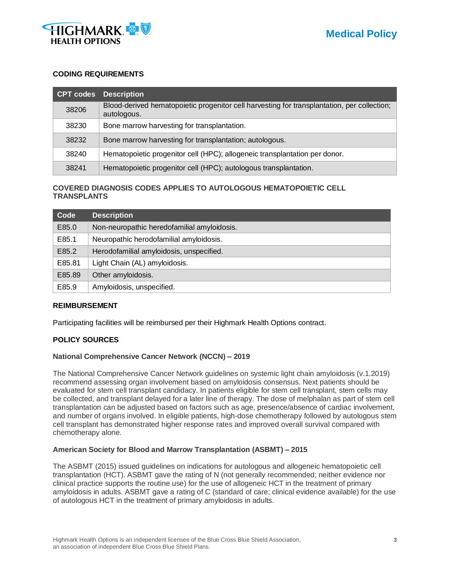

#### **CODING REQUIREMENTS**

|       | <b>CPT codes</b> Description                                                                               |
|-------|------------------------------------------------------------------------------------------------------------|
| 38206 | Blood-derived hematopoietic progenitor cell harvesting for transplantation, per collection;<br>autologous. |
| 38230 | Bone marrow harvesting for transplantation.                                                                |
| 38232 | Bone marrow harvesting for transplantation; autologous.                                                    |
| 38240 | Hematopoietic progenitor cell (HPC); allogeneic transplantation per donor.                                 |
| 38241 | Hematopoietic progenitor cell (HPC); autologous transplantation.                                           |

### **COVERED DIAGNOSIS CODES APPLIES TO AUTOLOGOUS HEMATOPOIETIC CELL TRANSPLANTS**

| Code   | <b>Description</b>                          |
|--------|---------------------------------------------|
| E85.0  | Non-neuropathic heredofamilial amyloidosis. |
| E85.1  | Neuropathic herodofamilial amyloidosis.     |
| E85.2  | Herodofamilial amyloidosis, unspecified.    |
| E85.81 | Light Chain (AL) amyloidosis.               |
| E85.89 | Other amyloidosis.                          |
| E85.9  | Amyloidosis, unspecified.                   |

#### **REIMBURSEMENT**

Participating facilities will be reimbursed per their Highmark Health Options contract.

#### **POLICY SOURCES**

#### **National Comprehensive Cancer Network (NCCN) – 2019**

The National Comprehensive Cancer Network guidelines on systemic light chain amyloidosis (v.1.2019) recommend assessing organ involvement based on amyloidosis consensus. Next patients should be evaluated for stem cell transplant candidacy. In patients eligible for stem cell transplant, stem cells may be collected, and transplant delayed for a later line of therapy. The dose of melphalan as part of stem cell transplantation can be adjusted based on factors such as age, presence/absence of cardiac involvement, and number of organs involved. In eligible patients, high-dose chemotherapy followed by autologous stem cell transplant has demonstrated higher response rates and improved overall survival compared with chemotherapy alone.

#### **American Society for Blood and Marrow Transplantation (ASBMT) – 2015**

The ASBMT (2015) issued guidelines on indications for autologous and allogeneic hematopoietic cell transplantation (HCT). ASBMT gave the rating of N (not generally recommended; neither evidence nor clinical practice supports the routine use) for the use of allogeneic HCT in the treatment of primary amyloidosis in adults. ASBMT gave a rating of C (standard of care; clinical evidence available) for the use of autologous HCT in the treatment of primary amyloidosis in adults.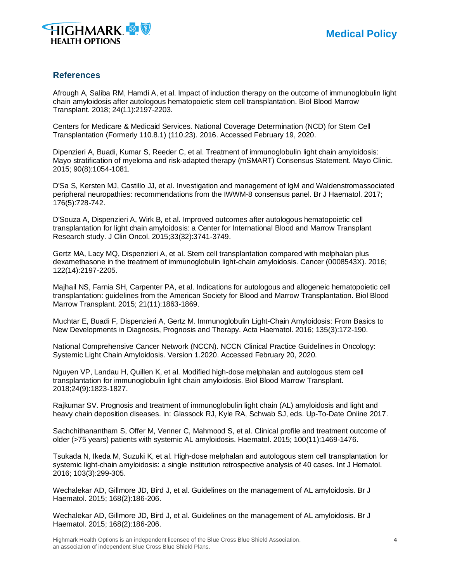

## **References**

Afrough A, Saliba RM, Hamdi A, et al. Impact of induction therapy on the outcome of immunoglobulin light chain amyloidosis after autologous hematopoietic stem cell transplantation. Biol Blood Marrow Transplant. 2018; 24(11):2197-2203.

Centers for Medicare & Medicaid Services. National Coverage Determination (NCD) for Stem Cell Transplantation (Formerly 110.8.1) (110.23). 2016. Accessed February 19, 2020.

Dipenzieri A, Buadi, Kumar S, Reeder C, et al. Treatment of immunoglobulin light chain amyloidosis: Mayo stratification of myeloma and risk-adapted therapy (mSMART) Consensus Statement. Mayo Clinic. 2015; 90(8):1054-1081.

D'Sa S, Kersten MJ, Castillo JJ, et al. Investigation and management of IgM and Waldenstromassociated peripheral neuropathies: recommendations from the IWWM-8 consensus panel. Br J Haematol. 2017; 176(5):728-742.

D'Souza A, Dispenzieri A, Wirk B, et al. Improved outcomes after autologous hematopoietic cell transplantation for light chain amyloidosis: a Center for International Blood and Marrow Transplant Research study. J Clin Oncol. 2015;33(32):3741-3749.

Gertz MA, Lacy MQ, Dispenzieri A, et al. Stem cell transplantation compared with melphalan plus dexamethasone in the treatment of immunoglobulin light-chain amyloidosis. Cancer (0008543X). 2016; 122(14):2197-2205.

Majhail NS, Farnia SH, Carpenter PA, et al. Indications for autologous and allogeneic hematopoietic cell transplantation: guidelines from the American Society for Blood and Marrow Transplantation. Biol Blood Marrow Transplant. 2015; 21(11):1863-1869.

Muchtar E, Buadi F, Dispenzieri A, Gertz M. Immunoglobulin Light-Chain Amyloidosis: From Basics to New Developments in Diagnosis, Prognosis and Therapy. Acta Haematol. 2016; 135(3):172-190.

National Comprehensive Cancer Network (NCCN). NCCN Clinical Practice Guidelines in Oncology: Systemic Light Chain Amyloidosis. Version 1.2020. Accessed February 20, 2020.

Nguyen VP, Landau H, Quillen K, et al. Modified high-dose melphalan and autologous stem cell transplantation for immunoglobulin light chain amyloidosis. Biol Blood Marrow Transplant. 2018;24(9):1823-1827.

Rajkumar SV. Prognosis and treatment of immunoglobulin light chain (AL) amyloidosis and light and heavy chain deposition diseases. In: Glassock RJ, Kyle RA, Schwab SJ, eds. Up-To-Date Online 2017.

Sachchithanantham S, Offer M, Venner C, Mahmood S, et al. Clinical profile and treatment outcome of older (>75 years) patients with systemic AL amyloidosis. Haematol. 2015; 100(11):1469-1476.

Tsukada N, Ikeda M, Suzuki K, et al. High-dose melphalan and autologous stem cell transplantation for systemic light-chain amyloidosis: a single institution retrospective analysis of 40 cases. Int J Hematol. 2016; 103(3):299-305.

Wechalekar AD, Gillmore JD, Bird J, et al. Guidelines on the management of AL amyloidosis. Br J Haematol. 2015; 168(2):186-206.

Wechalekar AD, Gillmore JD, Bird J, et al. Guidelines on the management of AL amyloidosis. Br J Haematol. 2015; 168(2):186-206.